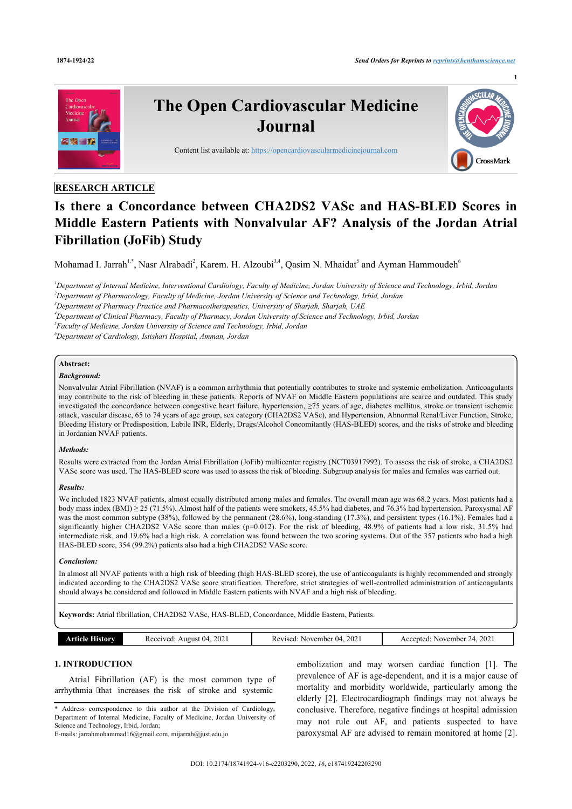

# **RESEARCH ARTICLE**

# **Is there a Concordance between CHA2DS2 VASc and HAS-BLED Scores in Middle Eastern Patients with Nonvalvular AF? Analysis of the Jordan Atrial Fibrillation (JoFib) Study**

Mohamad I. Jarrah<sup>[1](#page-0-0),[\\*](#page-0-1)</sup>, Nasr Alrabadi<sup>[2](#page-0-2)</sup>, Karem. H. Alzoubi<sup>[3](#page-0-3)[,4](#page-0-4)</sup>, Qasim N. Mhaidat<sup>[5](#page-0-5)</sup> and Ayman Hammoudeh<sup>[6](#page-0-6)</sup>

<span id="page-0-2"></span><span id="page-0-0"></span>*<sup>1</sup>Department of Internal Medicine, Interventional Cardiology, Faculty of Medicine, Jordan University of Science and Technology, Irbid, Jordan <sup>2</sup>Department of Pharmacology, Faculty of Medicine, Jordan University of Science and Technology, Irbid, Jordan*

<span id="page-0-3"></span>*<sup>3</sup>Department of Pharmacy Practice and Pharmacotherapeutics, University of Sharjah, Sharjah, UAE*

<span id="page-0-4"></span>*<sup>4</sup>Department of Clinical Pharmacy, Faculty of Pharmacy, Jordan University of Science and Technology, Irbid, Jordan*

<span id="page-0-5"></span>*5 Faculty of Medicine, Jordan University of Science and Technology, Irbid, Jordan*

<span id="page-0-6"></span>*<sup>6</sup>Department of Cardiology, Istishari Hospital, Amman, Jordan*

# **Abstract:**

# *Background:*

Nonvalvular Atrial Fibrillation (NVAF) is a common arrhythmia that potentially contributes to stroke and systemic embolization. Anticoagulants may contribute to the risk of bleeding in these patients. Reports of NVAF on Middle Eastern populations are scarce and outdated. This study investigated the concordance between congestive heart failure, hypertension, ≥75 years of age, diabetes mellitus, stroke or transient ischemic attack, vascular disease, 65 to 74 years of age group, sex category (CHA2DS2 VASc), and Hypertension, Abnormal Renal/Liver Function, Stroke, Bleeding History or Predisposition, Labile INR, Elderly, Drugs/Alcohol Concomitantly (HAS-BLED) scores, and the risks of stroke and bleeding in Jordanian NVAF patients.

#### *Methods:*

Results were extracted from the Jordan Atrial Fibrillation (JoFib) multicenter registry (NCT03917992). To assess the risk of stroke, a CHA2DS2 VASc score was used. The HAS-BLED score was used to assess the risk of bleeding. Subgroup analysis for males and females was carried out.

#### *Results:*

We included 1823 NVAF patients, almost equally distributed among males and females. The overall mean age was 68.2 years. Most patients had a body mass index (BMI) ≥ 25 (71.5%). Almost half of the patients were smokers, 45.5% had diabetes, and 76.3% had hypertension. Paroxysmal AF was the most common subtype (38%), followed by the permanent (28.6%), long-standing (17.3%), and persistent types (16.1%). Females had a significantly higher CHA2DS2 VASc score than males (p=0.012). For the risk of bleeding, 48.9% of patients had a low risk, 31.5% had intermediate risk, and 19.6% had a high risk. A correlation was found between the two scoring systems. Out of the 357 patients who had a high HAS-BLED score, 354 (99.2%) patients also had a high CHA2DS2 VASc score.

#### *Conclusion:*

In almost all NVAF patients with a high risk of bleeding (high HAS-BLED score), the use of anticoagulants is highly recommended and strongly indicated according to the CHA2DS2 VASc score stratification. Therefore, strict strategies of well-controlled administration of anticoagulants should always be considered and followed in Middle Eastern patients with NVAF and a high risk of bleeding.

**Keywords:** Atrial fibrillation, CHA2DS2 VASc, HAS-BLED, Concordance, Middle Eastern, Patients.

|  | <b>Article History</b> | Received: August 04, 2021 | Revised: November 04, 2021 | Accepted: November 24, 2021 |
|--|------------------------|---------------------------|----------------------------|-----------------------------|
|--|------------------------|---------------------------|----------------------------|-----------------------------|

# **1. INTRODUCTION**

Atrial Fibrillation (AF) is the most common type of arrhythmia that increases the risk of stroke and systemic

embolization and may worsen cardiac function[[1](#page-5-0)]. The prevalence of AF is age-dependent, and it is a major cause of mortality and morbidity worldwide, particularly among the elderly[[2](#page-5-1)]. Electrocardiograph findings may not always be conclusive. Therefore, negative findings at hospital admission may not rule out AF, and patients suspected to have paroxysmal AF are advised to remain monitored at home [[2](#page-5-1)].

<span id="page-0-1"></span><sup>\*</sup> Address correspondence to this author at the Division of Cardiology, Department of Internal Medicine, Faculty of Medicine, Jordan University of Science and Technology, Irbid, Jordan; E-mails: [jarrahmohammad16@gmail.com,](mailto:jarrahmohammad16@gmail.com) [mijarrah@just.edu.jo](mailto:mijarrah@just.edu.jo)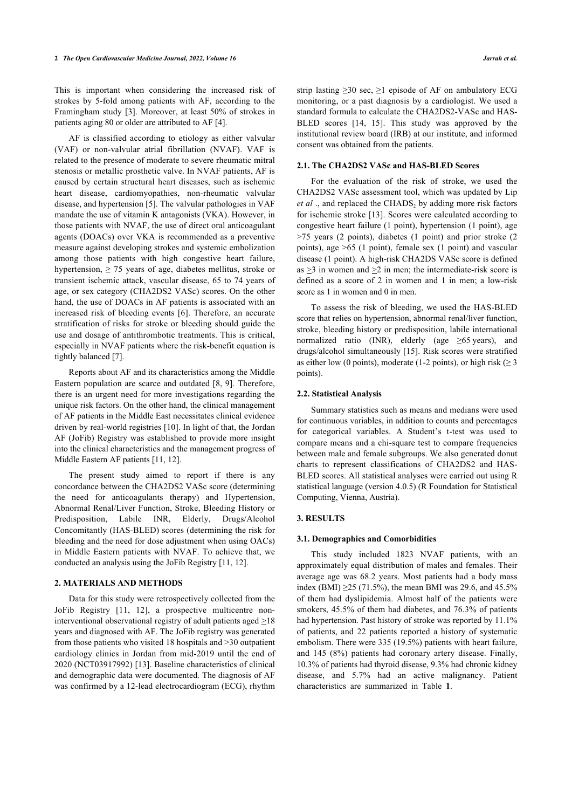This is important when considering the increased risk of strokes by 5-fold among patients with AF, according to the Framingham study [\[3\]](#page-5-2). Moreover, at least 50% of strokes in patients aging 80 or older are attributed to AF [[4](#page-5-3)].

AF is classified according to etiology as either valvular (VAF) or non-valvular atrial fibrillation (NVAF). VAF is related to the presence of moderate to severe rheumatic mitral stenosis or metallic prosthetic valve. In NVAF patients, AF is caused by certain structural heart diseases, such as ischemic heart disease, cardiomyopathies, non-rheumatic valvular disease, and hypertension [[5](#page-5-4)]. The valvular pathologies in VAF mandate the use of vitamin K antagonists (VKA). However, in those patients with NVAF, the use of direct oral anticoagulant agents (DOACs) over VKA is recommended as a preventive measure against developing strokes and systemic embolization among those patients with high congestive heart failure, hypertension,  $\geq$  75 years of age, diabetes mellitus, stroke or transient ischemic attack, vascular disease, 65 to 74 years of age, or sex category (CHA2DS2 VASc) scores. On the other hand, the use of DOACs in AF patients is associated with an increased risk of bleeding events [\[6\]](#page-5-5). Therefore, an accurate stratification of risks for stroke or bleeding should guide the use and dosage of antithrombotic treatments. This is critical, especially in NVAF patients where the risk-benefit equation is tightly balanced [[7](#page-5-6)].

Reports about AF and its characteristics among the Middle Eastern population are scarce and outdated [[8](#page-5-7), [9](#page-5-8)]. Therefore, there is an urgent need for more investigations regarding the unique risk factors. On the other hand, the clinical management of AF patients in the Middle East necessitates clinical evidence driven by real-world registries [[10\]](#page-5-9). In light of that, the Jordan AF (JoFib) Registry was established to provide more insight into the clinical characteristics and the management progress of Middle Eastern AF patients [\[11](#page-5-10), [12\]](#page-5-11).

The present study aimed to report if there is any concordance between the CHA2DS2 VASc score (determining the need for anticoagulants therapy) and Hypertension, Abnormal Renal/Liver Function, Stroke, Bleeding History or Predisposition, Labile INR, Elderly, Drugs/Alcohol Concomitantly (HAS-BLED) scores (determining the risk for bleeding and the need for dose adjustment when using OACs) in Middle Eastern patients with NVAF. To achieve that, we conducted an analysis using the JoFib Registry [[11,](#page-5-10) [12](#page-5-11)].

# **2. MATERIALS AND METHODS**

<span id="page-1-0"></span>Data for this study were retrospectively collected from the JoFib Registry[[11](#page-5-10), [12\]](#page-5-11), a prospective multicentre noninterventional observational registry of adult patients aged  $\geq$ 18 years and diagnosed with AF. The JoFib registry was generated from those patients who visited 18 hospitals and >30 outpatient cardiology clinics in Jordan from mid-2019 until the end of 2020 (NCT03917992) [[13\]](#page-5-12). Baseline characteristics of clinical and demographic data were documented. The diagnosis of AF was confirmed by a 12-lead electrocardiogram (ECG), rhythm

strip lasting  $\geq 30$  sec,  $\geq 1$  episode of AF on ambulatory ECG monitoring, or a past diagnosis by a cardiologist. We used a standard formula to calculate the CHA2DS2-VASc and HAS-BLED scores[[14,](#page-5-13) [15\]](#page-5-14). This study was approved by the institutional review board (IRB) at our institute, and informed consent was obtained from the patients.

# **2.1. The CHA2DS2 VASc and HAS-BLED Scores**

For the evaluation of the risk of stroke, we used the CHA2DS2 VASc assessment tool, which was updated by Lip *et al* ., and replaced the CHADS<sub>2</sub> by adding more risk factors for ischemic stroke [[13\]](#page-5-12). Scores were calculated according to congestive heart failure (1 point), hypertension (1 point), age >75 years (2 points), diabetes (1 point) and prior stroke (2 points), age >65 (1 point), female sex (1 point) and vascular disease (1 point). A high-risk CHA2DS VASc score is defined as  $>$ 3 in women and  $>$ 2 in men; the intermediate-risk score is defined as a score of 2 in women and 1 in men; a low-risk score as 1 in women and 0 in men.

To assess the risk of bleeding, we used the HAS-BLED score that relies on hypertension, abnormal renal/liver function, stroke, bleeding history or predisposition, labile international normalized ratio (INR), elderly (age  $\geq 65$  years), and drugs/alcohol simultaneously [[15](#page-5-14)]. Risk scores were stratified as either low (0 points), moderate (1-2 points), or high risk ( $\geq$  3 points).

### **2.2. Statistical Analysis**

Summary statistics such as means and medians were used for continuous variables, in addition to counts and percentages for categorical variables. A Student's t-test was used to compare means and a chi-square test to compare frequencies between male and female subgroups. We also generated donut charts to represent classifications of CHA2DS2 and HAS-BLED scores. All statistical analyses were carried out using R statistical language (version 4.0.5) (R Foundation for Statistical Computing, Vienna, Austria).

#### **3. RESULTS**

#### **3.1. Demographics and Comorbidities**

This study included 1823 NVAF patients, with an approximately equal distribution of males and females. Their average age was 68.2 years. Most patients had a body mass index (BMI)  $\geq$ 25 (71.5%), the mean BMI was 29.6, and 45.5% of them had dyslipidemia. Almost half of the patients were smokers, 45.5% of them had diabetes, and 76.3% of patients had hypertension. Past history of stroke was reported by 11.1% of patients, and 22 patients reported a history of systematic embolism. There were 335 (19.5%) patients with heart failure, and 145 (8%) patients had coronary artery disease. Finally, 10.3% of patients had thyroid disease, 9.3% had chronic kidney disease, and 5.7% had an active malignancy. Patient characteristics are summarized in Table**1**.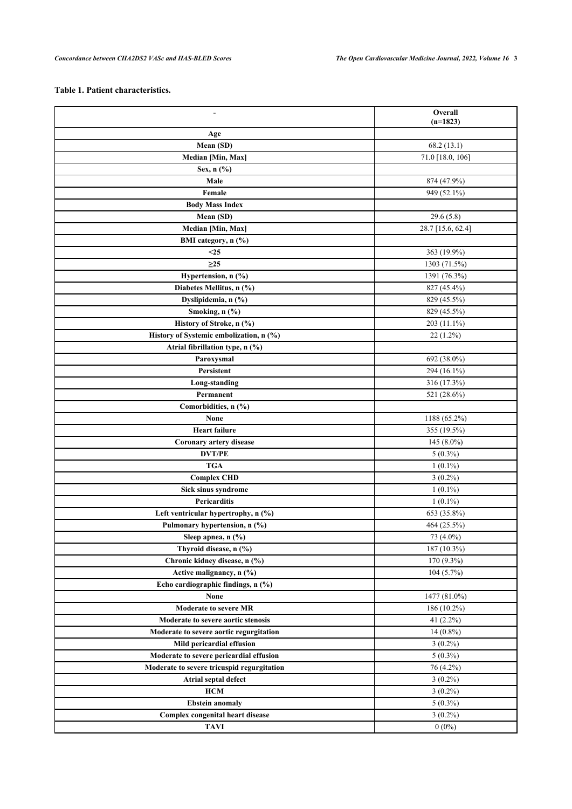# **Table 1. Patient characteristics.**

| $\overline{\phantom{a}}$                   | Overall           |
|--------------------------------------------|-------------------|
|                                            | $(n=1823)$        |
| Age<br>Mean (SD)                           | 68.2(13.1)        |
| Median [Min, Max]                          | 71.0 [18.0, 106]  |
|                                            |                   |
| Sex, n (%)                                 |                   |
| Male                                       | 874 (47.9%)       |
| Female                                     | 949 (52.1%)       |
| <b>Body Mass Index</b>                     |                   |
| Mean (SD)                                  | 29.6(5.8)         |
| Median [Min, Max]                          | 28.7 [15.6, 62.4] |
| BMI category, n (%)                        |                   |
| $25$                                       | 363 (19.9%)       |
| $\geq$ 25                                  | 1303 (71.5%)      |
| Hypertension, n (%)                        | 1391 (76.3%)      |
| Diabetes Mellitus, n (%)                   | 827 (45.4%)       |
| Dyslipidemia, n (%)                        | 829 (45.5%)       |
| Smoking, n (%)                             | 829 (45.5%)       |
| History of Stroke, n (%)                   | 203 (11.1%)       |
| History of Systemic embolization, n (%)    | $22(1.2\%)$       |
| Atrial fibrillation type, n (%)            |                   |
| Paroxysmal                                 | 692 (38.0%)       |
| Persistent                                 | 294 (16.1%)       |
| Long-standing                              | 316 (17.3%)       |
| Permanent                                  | 521 (28.6%)       |
| Comorbidities, n (%)                       |                   |
| None                                       | 1188 (65.2%)      |
| <b>Heart failure</b>                       | 355 (19.5%)       |
| Coronary artery disease                    | $145(8.0\%)$      |
| <b>DVT/PE</b>                              | $5(0.3\%)$        |
| <b>TGA</b>                                 | $1(0.1\%)$        |
| <b>Complex CHD</b>                         | $3(0.2\%)$        |
| Sick sinus syndrome                        | $1(0.1\%)$        |
| Pericarditis                               | $1(0.1\%)$        |
| Left ventricular hypertrophy, n (%)        | 653 (35.8%)       |
| Pulmonary hypertension, n (%)              | 464 (25.5%)       |
| Sleep apnea, n (%)                         | 73 (4.0%)         |
| Thyroid disease, n (%)                     | 187 (10.3%)       |
| Chronic kidney disease, n (%)              | 170 (9.3%)        |
| Active malignancy, n (%)                   | $104(5.7\%)$      |
| Echo cardiographic findings, n (%)         |                   |
| <b>None</b>                                | 1477 (81.0%)      |
| <b>Moderate to severe MR</b>               | 186 (10.2%)       |
| Moderate to severe aortic stenosis         | 41 $(2.2\%)$      |
| Moderate to severe aortic regurgitation    | $14(0.8\%)$       |
| Mild pericardial effusion                  | $3(0.2\%)$        |
| Moderate to severe pericardial effusion    | $5(0.3\%)$        |
| Moderate to severe tricuspid regurgitation | 76 (4.2%)         |
| Atrial septal defect                       | $3(0.2\%)$        |
| <b>HCM</b>                                 | $3(0.2\%)$        |
| <b>Ebstein anomaly</b>                     | $5(0.3\%)$        |
| Complex congenital heart disease           | $3(0.2\%)$        |
| <b>TAVI</b>                                | $0(0\%)$          |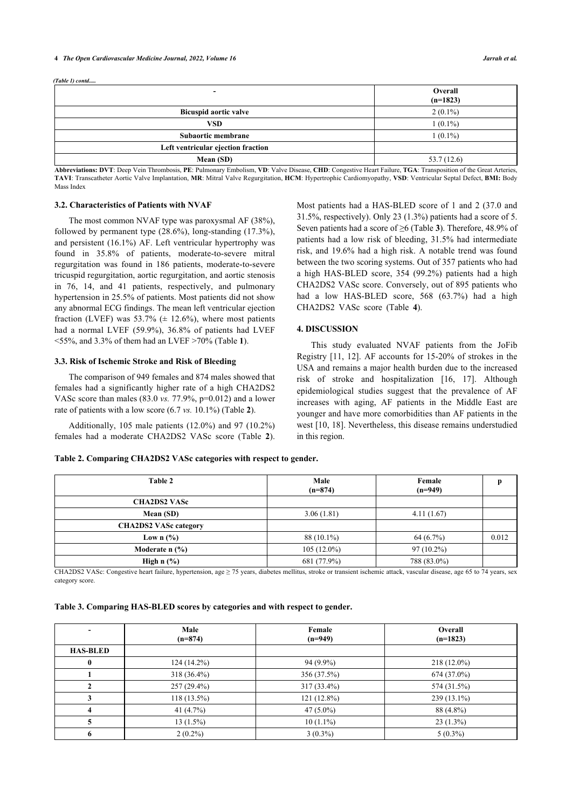#### **4** *The Open Cardiovascular Medicine Journal, 2022, Volume 16 Jarrah et al.*

*(Table 1) contd.....*

| -----------------                  |                       |
|------------------------------------|-----------------------|
| -                                  | Overall<br>$(n=1823)$ |
| <b>Bicuspid aortic valve</b>       | $2(0.1\%)$            |
| <b>VSD</b>                         | $1(0.1\%)$            |
| Subaortic membrane                 | $1(0.1\%)$            |
| Left ventricular ejection fraction |                       |
| Mean (SD)                          | 53.7(12.6)            |

**Abbreviations: DVT**: Deep Vein Thrombosis, **PE**: Pulmonary Embolism, **VD**: Valve Disease, **CHD**: Congestive Heart Failure, **TGA**: Transposition of the Great Arteries, **TAVI**: Transcatheter Aortic Valve Implantation, **MR**: Mitral Valve Regurgitation, **HCM**: Hypertrophic Cardiomyopathy, **VSD**: Ventricular Septal Defect, **BMI:** Body Mass Index

# **3.2. Characteristics of Patients with NVAF**

The most common NVAF type was paroxysmal AF (38%), followed by permanent type (28.6%), long-standing (17.3%), and persistent (16.1%) AF. Left ventricular hypertrophy was found in 35.8% of patients, moderate-to-severe mitral regurgitation was found in 186 patients, moderate-to-severe tricuspid regurgitation, aortic regurgitation, and aortic stenosis in 76, 14, and 41 patients, respectively, and pulmonary hypertension in 25.5% of patients. Most patients did not show any abnormal ECG findings. The mean left ventricular ejection fraction (LVEF) was  $53.7\%$  ( $\pm$  12.6%), where most patients had a normal LVEF (59.9%), 36.8% of patients had LVEF <55%, and 3.3% of them had an LVEF >70% (Table **[1](#page-1-0)**).

# **3.3. Risk of Ischemic Stroke and Risk of Bleeding**

The comparison of 949 females and 874 males showed that females had a significantly higher rate of a high CHA2DS2 VASc score than males (83.0 *vs.* 77.9%, p=0.012) and a lower rate of patients with a low score (6.7 *vs.* 10.1%) (Table **[2](#page-3-0)**).

Additionally, 105 male patients (12.0%) and 97 (10.2%) females had a moderate CHA2DS2 VASc score (Table**2**).

<span id="page-3-0"></span>**Table 2. Comparing CHA2DS2 VASc categories with respect to gender.**

Most patients had a HAS-BLED score of 1 and 2 (37.0 and 31.5%, respectively). Only 23 (1.3%) patients had a score of 5. Seven patients had a score of ≥6 (Table **[3](#page-3-1)**). Therefore, 48.9% of patients had a low risk of bleeding, 31.5% had intermediate risk, and 19.6% had a high risk. A notable trend was found between the two scoring systems. Out of 357 patients who had a high HAS-BLED score, 354 (99.2%) patients had a high CHA2DS2 VASc score. Conversely, out of 895 patients who had a low HAS-BLED score, 568 (63.7%) had a high CHA2DS2 VASc score (Table**4**).

### **4. DISCUSSION**

This [stu](#page-5-10)[dy](#page-5-11) evaluated NVAF patients from the JoFib Registry [11, 12]. AF accounts for 15-20% of strokes in the USA and remains a major health burden [du](#page-5-15)e [to t](#page-5-16)he increased risk of stroke and hospitalization [16, 17]. Although epidemiological studies suggest that the prevalence of AF increases with aging, AF patients in the Middle East are youn[ger](#page-5-9) [and](#page-5-17) have more comorbidities than AF patients in the west [10, 18]. Nevertheless, this disease remains understudied in this region.

| Table 2                             | Male<br>$(n=874)$ | Female<br>$(n=949)$ |       |
|-------------------------------------|-------------------|---------------------|-------|
| <b>CHA2DS2 VASc</b>                 |                   |                     |       |
| Mean (SD)                           | 3.06(1.81)        | 4.11(1.67)          |       |
| <b>CHA2DS2 VASc category</b>        |                   |                     |       |
| Low $n$ (%)                         | 88 (10.1%)        | 64 (6.7%)           | 0.012 |
| Moderate $n$ $\frac{9}{6}$          | $105(12.0\%)$     | $97(10.2\%)$        |       |
| High $n$ $\left(\frac{9}{6}\right)$ | 681 (77.9%)       | 788 (83.0%)         |       |

CHA2DS2 VASc: Congestive heart failure, hypertension, age ≥ 75 years, diabetes mellitus, stroke or transient ischemic attack, vascular disease, age 65 to 74 years, sex category score.

### <span id="page-3-1"></span>**Table 3. Comparing HAS-BLED scores by categories and with respect to gender.**

|                 | Male<br>$(n=874)$ | Female<br>$(n=949)$ | Overall<br>$(n=1823)$ |
|-----------------|-------------------|---------------------|-----------------------|
| <b>HAS-BLED</b> |                   |                     |                       |
| $\mathbf{0}$    | $124(14.2\%)$     | $94(9.9\%)$         | $218(12.0\%)$         |
|                 | 318 (36.4%)       | 356 (37.5%)         | 674 (37.0%)           |
|                 | $257(29.4\%)$     | 317 (33.4%)         | 574 (31.5%)           |
|                 | $118(13.5\%)$     | 121 (12.8%)         | 239 (13.1%)           |
|                 | 41 $(4.7\%)$      | $47(5.0\%)$         | 88 (4.8%)             |
|                 | $13(1.5\%)$       | $10(1.1\%)$         | $23(1.3\%)$           |
| 6               | $2(0.2\%)$        | $3(0.3\%)$          | $5(0.3\%)$            |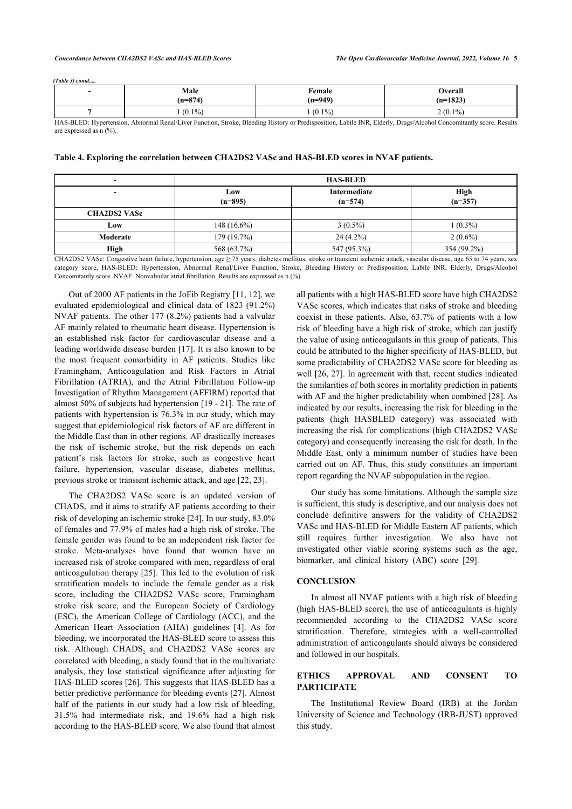*(Table 3) contd.....*

| Male      | Female    | Overall    |
|-----------|-----------|------------|
| $(n=874)$ | $(n=949)$ | $(n=1823)$ |
| $(0.1\%)$ | $(0.1\%)$ |            |

HAS-BLED: Hypertension, Abnormal Renal/Liver Function, Stroke, Bleeding History or Predisposition, Labile INR, Elderly, Drugs/Alcohol Concomitantly score. Results are expressed as n (%).

<span id="page-4-0"></span>

|  |  |  |  | Table 4. Exploring the correlation between CHA2DS2 VASc and HAS-BLED scores in NVAF patients. |
|--|--|--|--|-----------------------------------------------------------------------------------------------|
|--|--|--|--|-----------------------------------------------------------------------------------------------|

| $\overline{\phantom{0}}$ | <b>HAS-BLED</b>  |                           |                          |
|--------------------------|------------------|---------------------------|--------------------------|
|                          | Low<br>$(n=895)$ | Intermediate<br>$(n=574)$ | <b>High</b><br>$(n=357)$ |
| <b>CHA2DS2 VASc</b>      |                  |                           |                          |
| Low                      | $148(16.6\%)$    | $3(0.5\%)$                | $1(0.3\%)$               |
| Moderate                 | 179 (19.7%)      | $24(4.2\%)$               | $2(0.6\%)$               |
| High                     | 568 (63.7%)      | 547 (95.3%)               | 354 (99.2%)              |

CHA2DS2 VASc: Congestive heart failure, hypertension, age ≥ 75 years, diabetes mellitus, stroke or transient ischemic attack, vascular disease, age 65 to 74 years, sex category score, HAS-BLED: Hypertension, Abnormal Renal/Liver Function, Stroke, Bleeding History or Predisposition, Labile INR, Elderly, Drugs/Alcohol Concomitantly score. NVAF: Nonvalvular atrial fibrillation. Results are expressed as n (%).

Out of 2000 AF patients in the JoFib Registry [\[11](#page-5-10), [12](#page-5-11)], we evaluated epidemiological and clinical data of 1823 (91.2%) NVAF patients. The other 177 (8.2%) patients had a valvular AF mainly related to rheumatic heart disease. Hypertension is an established risk factor for cardiovascular disease and a leading worldwide disease burden [[17\]](#page-5-16). It is also known to be the most frequent comorbidity in AF patients. Studies like Framingham, Anticoagulation and Risk Factors in Atrial Fibrillation (ATRIA), and the Atrial Fibrillation Follow-up Investigation of Rhythm Management (AFFIRM) reported that almost 50% of subjects had hypertension [\[19](#page-5-18) - [21](#page-5-19)]. The rate of patients with hypertension is 76.3% in our study, which may suggest that epidemiological risk factors of AF are different in the Middle East than in other regions. AF drastically increases the risk of ischemic stroke, but the risk depends on each patient's risk factors for stroke, such as congestive heart failure, hypertension, vascular disease, diabetes mellitus, previous stroke or transient ischemic attack, and age [\[22](#page-5-20), [23\]](#page-5-21).

The CHA2DS2 VASc score is an updated version of  $CHADS<sub>2</sub>$  and it aims to stratify AF patients according to their risk of developing an ischemic stroke [[24\]](#page-5-22). In our study, 83.0% of females and 77.9% of males had a high risk of stroke. The female gender was found to be an independent risk factor for stroke. Meta-analyses have found that women have an increased risk of stroke compared with men, regardless of oral anticoagulation therapy [[25](#page-5-23)]. This led to the evolution of risk stratification models to include the female gender as a risk score, including the CHA2DS2 VASc score, Framingham stroke risk score, and the European Society of Cardiology (ESC), the American College of Cardiology (ACC), and the American Heart Association (AHA) guidelines [\[4](#page-5-3)]. As for bleeding, we incorporated the HAS-BLED score to assess this risk. Although  $\text{CHADS}_2$  and  $\text{CHA2DS2 VASc}$  scores are correlated with bleeding, a study found that in the multivariate analysis, they lose statistical significance after adjusting for HAS-BLED scores [\[26](#page-5-24)]. This suggests that HAS-BLED has a better predictive performance for bleeding events [[27\]](#page-5-25). Almost half of the patients in our study had a low risk of bleeding, 31.5% had intermediate risk, and 19.6% had a high risk according to the HAS-BLED score. We also found that almost all patients with a high HAS-BLED score have high CHA2DS2 VASc scores, which indicates that risks of stroke and bleeding coexist in these patients. Also, 63.7% of patients with a low risk of bleeding have a high risk of stroke, which can justify the value of using anticoagulants in this group of patients. This could be attributed to the higher specificity of HAS-BLED, but some predictability of CHA2DS2 VASc score for bleeding as well [[26,](#page-5-24) [27\]](#page-5-25). In agreement with that, recent studies indicated the similarities of both scores in mortality prediction in patients with AF and the higher predictability when combined [[28\]](#page-6-0). As indicated by our results, increasing the risk for bleeding in the patients (high HASBLED category) was associated with increasing the risk for complications (high CHA2DS2 VASc category) and consequently increasing the risk for death. In the Middle East, only a minimum number of studies have been carried out on AF. Thus, this study constitutes an important report regarding the NVAF subpopulation in the region.

Our study has some limitations. Although the sample size is sufficient, this study is descriptive, and our analysis does not conclude definitive answers for the validity of CHA2DS2 VASc and HAS-BLED for Middle Eastern AF patients, which still requires further investigation. We also have not investigated other viable scoring systems such as the age, biomarker, and clinical history (ABC) score[[29\]](#page-6-1).

# **CONCLUSION**

In almost all NVAF patients with a high risk of bleeding (high HAS-BLED score), the use of anticoagulants is highly recommended according to the CHA2DS2 VASc score stratification. Therefore, strategies with a well-controlled administration of anticoagulants should always be considered and followed in our hospitals.

# **ETHICS APPROVAL AND CONSENT TO PARTICIPATE**

The Institutional Review Board (IRB) at the Jordan University of Science and Technology (IRB-JUST) approved this study.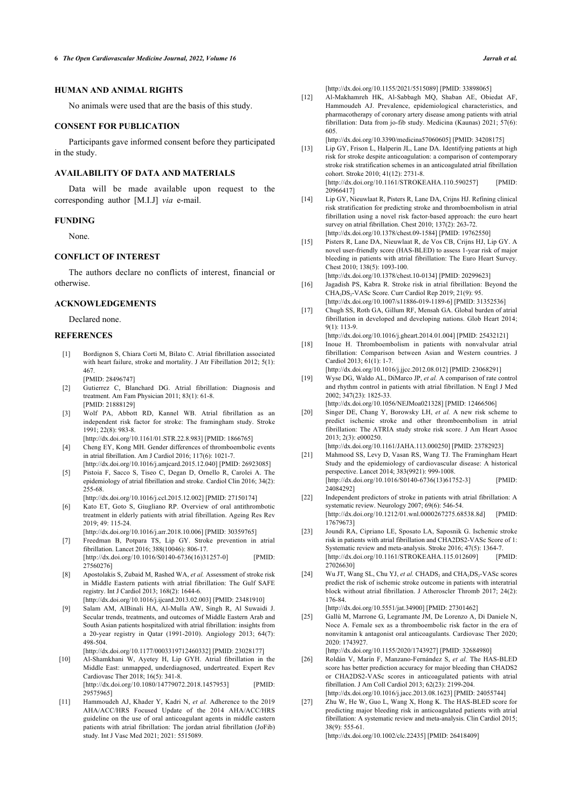# <span id="page-5-11"></span>**HUMAN AND ANIMAL RIGHTS**

No animals were used that are the basis of this study.

#### **CONSENT FOR PUBLICATION**

<span id="page-5-12"></span>Participants gave informed consent before they participated in the study.

# **AVAILABILITY OF DATA AND MATERIALS**

<span id="page-5-13"></span>Data will be made available upon request to the corresponding author [M.I.J] *via* e-mail.

#### **FUNDING**

None.

#### <span id="page-5-14"></span>**CONFLICT OF INTEREST**

<span id="page-5-15"></span>The authors declare no conflicts of interest, financial or otherwise.

# <span id="page-5-16"></span>**ACKNOWLEDGEMENTS**

Declared none.

#### <span id="page-5-17"></span><span id="page-5-0"></span>**REFERENCES**

- [1] Bordignon S, Chiara Corti M, Bilato C. Atrial fibrillation associated with heart failure, stroke and mortality. J Atr Fibrillation 2012; 5(1): 467. [PMID: [28496747](http://www.ncbi.nlm.nih.gov/pubmed/28496747)]
- <span id="page-5-18"></span><span id="page-5-1"></span>[2] Gutierrez C, Blanchard DG. Atrial fibrillation: Diagnosis and treatment. Am Fam Physician 2011; 83(1): 61-8. [PMID: [21888129](http://www.ncbi.nlm.nih.gov/pubmed/21888129)]
- <span id="page-5-2"></span>[3] Wolf PA, Abbott RD, Kannel WB. Atrial fibrillation as an independent risk factor for stroke: The framingham study. Stroke  $1991 \cdot 22(8) \cdot 983 - 8$

[\[http://dx.doi.org/10.1161/01.STR.22.8.983](http://dx.doi.org/10.1161/01.STR.22.8.983)] [PMID: [1866765](http://www.ncbi.nlm.nih.gov/pubmed/1866765)]

- <span id="page-5-19"></span><span id="page-5-3"></span>[4] Cheng EY, Kong MH. Gender differences of thromboembolic events in atrial fibrillation. Am J Cardiol 2016; 117(6): 1021-7. [\[http://dx.doi.org/10.1016/j.amjcard.2015.12.040](http://dx.doi.org/10.1016/j.amjcard.2015.12.040)] [PMID: [26923085\]](http://www.ncbi.nlm.nih.gov/pubmed/26923085)
- <span id="page-5-4"></span>[5] Pistoia F, Sacco S, Tiseo C, Degan D, Ornello R, Carolei A. The epidemiology of atrial fibrillation and stroke. Cardiol Clin 2016; 34(2): 255-68.
- <span id="page-5-20"></span><span id="page-5-5"></span>[\[http://dx.doi.org/10.1016/j.ccl.2015.12.002\]](http://dx.doi.org/10.1016/j.ccl.2015.12.002) [PMID: [27150174](http://www.ncbi.nlm.nih.gov/pubmed/27150174)] [6] Kato ET, Goto S, Giugliano RP. Overview of oral antithrombotic treatment in elderly patients with atrial fibrillation. Ageing Res Rev 2019; 49: 115-24.
- <span id="page-5-21"></span><span id="page-5-6"></span>[\[http://dx.doi.org/10.1016/j.arr.2018.10.006](http://dx.doi.org/10.1016/j.arr.2018.10.006)] [PMID: [30359765\]](http://www.ncbi.nlm.nih.gov/pubmed/30359765) [7] Freedman B, Potpara TS, Lip GY. Stroke prevention in atrial fibrillation. Lancet 2016; 388(10046): 806-17. [\[http://dx.doi.org/10.1016/S0140-6736\(16\)31257-0](http://dx.doi.org/10.1016/S0140-6736(16)31257-0)] [PMID:
- <span id="page-5-22"></span>[27560276\]](http://www.ncbi.nlm.nih.gov/pubmed/27560276) [8] Apostolakis S, Zubaid M, Rashed WA, *et al.* Assessment of stroke risk
- <span id="page-5-7"></span>in Middle Eastern patients with atrial fibrillation: The Gulf SAFE registry. Int J Cardiol 2013; 168(2): 1644-6. [\[http://dx.doi.org/10.1016/j.ijcard.2013.02.003\]](http://dx.doi.org/10.1016/j.ijcard.2013.02.003) [PMID: [23481910](http://www.ncbi.nlm.nih.gov/pubmed/23481910)]
- <span id="page-5-23"></span><span id="page-5-8"></span>[9] Salam AM, AlBinali HA, Al-Mulla AW, Singh R, Al Suwaidi J. Secular trends, treatments, and outcomes of Middle Eastern Arab and
- South Asian patients hospitalized with atrial fibrillation: insights from a 20-year registry in Qatar (1991-2010). Angiology 2013; 64(7): 498-504. [\[http://dx.doi.org/10.1177/0003319712460332](http://dx.doi.org/10.1177/0003319712460332)] [PMID: [23028177\]](http://www.ncbi.nlm.nih.gov/pubmed/23028177)
- <span id="page-5-24"></span><span id="page-5-9"></span>[10] Al-Shamkhani W, Ayetey H, Lip GYH. Atrial fibrillation in the Middle East: unmapped, underdiagnosed, undertreated. Expert Rev Cardiovasc Ther 2018; 16(5): 341-8. [\[http://dx.doi.org/10.1080/14779072.2018.1457953\]](http://dx.doi.org/10.1080/14779072.2018.1457953) [29575965\]](http://www.ncbi.nlm.nih.gov/pubmed/29575965)
- <span id="page-5-25"></span><span id="page-5-10"></span>[11] Hammoudeh AJ, Khader Y, Kadri N, *et al.* Adherence to the 2019 AHA/ACC/HRS Focused Update of the 2014 AHA/ACC/HRS guideline on the use of oral anticoagulant agents in middle eastern patients with atrial fibrillation: The jordan atrial fibrillation (JoFib) study. Int J Vasc Med 2021; 2021: 5515089.

[\[http://dx.doi.org/10.1155/2021/5515089\]](http://dx.doi.org/10.1155/2021/5515089) [PMID: [33898065\]](http://www.ncbi.nlm.nih.gov/pubmed/33898065)

[12] Al-Makhamreh HK, Al-Sabbagh MQ, Shaban AE, Obiedat AF, Hammoudeh AJ. Prevalence, epidemiological characteristics, and pharmacotherapy of coronary artery disease among patients with atrial fibrillation: Data from jo-fib study. Medicina (Kaunas) 2021; 57(6): 605.

[\[http://dx.doi.org/10.3390/medicina57060605](http://dx.doi.org/10.3390/medicina57060605)] [PMID: [34208175\]](http://www.ncbi.nlm.nih.gov/pubmed/34208175)

- [13] Lip GY, Frison L, Halperin JL, Lane DA. Identifying patients at high risk for stroke despite anticoagulation: a comparison of contemporary stroke risk stratification schemes in an anticoagulated atrial fibrillation cohort. Stroke 2010; 41(12): 2731-8. [\[http://dx.doi.org/10.1161/STROKEAHA.110.590257\]](http://dx.doi.org/10.1161/STROKEAHA.110.590257) [PMID: [20966417\]](http://www.ncbi.nlm.nih.gov/pubmed/20966417)
- [14] Lip GY, Nieuwlaat R, Pisters R, Lane DA, Crijns HJ. Refining clinical risk stratification for predicting stroke and thromboembolism in atrial fibrillation using a novel risk factor-based approach: the euro heart survey on atrial fibrillation. Chest 2010; 137(2): 263-72. [\[http://dx.doi.org/10.1378/chest.09-1584\]](http://dx.doi.org/10.1378/chest.09-1584) [PMID: [19762550\]](http://www.ncbi.nlm.nih.gov/pubmed/19762550)
- [15] Pisters R, Lane DA, Nieuwlaat R, de Vos CB, Crijns HJ, Lip GY. A novel user-friendly score (HAS-BLED) to assess 1-year risk of major bleeding in patients with atrial fibrillation: The Euro Heart Survey. Chest 2010; 138(5): 1093-100. [\[http://dx.doi.org/10.1378/chest.10-0134\]](http://dx.doi.org/10.1378/chest.10-0134) [PMID: [20299623\]](http://www.ncbi.nlm.nih.gov/pubmed/20299623)
- [16] Jagadish PS, Kabra R. Stroke risk in atrial fibrillation: Beyond the CHA<sub>2</sub>DS<sub>2</sub>-VASc Score. Curr Cardiol Rep 2019; 21(9): 95.
- [\[http://dx.doi.org/10.1007/s11886-019-1189-6\]](http://dx.doi.org/10.1007/s11886-019-1189-6) [PMID: [31352536](http://www.ncbi.nlm.nih.gov/pubmed/31352536)] [17] Chugh SS, Roth GA, Gillum RF, Mensah GA. Global burden of atrial
- fibrillation in developed and developing nations. Glob Heart 2014; 9(1): 113-9. [\[http://dx.doi.org/10.1016/j.gheart.2014.01.004](http://dx.doi.org/10.1016/j.gheart.2014.01.004)] [PMID: [25432121](http://www.ncbi.nlm.nih.gov/pubmed/25432121)]
- [18] Inoue H. Thromboembolism in patients with nonvalvular atrial fibrillation: Comparison between Asian and Western countries. J Cardiol 2013; 61(1): 1-7.
- [\[http://dx.doi.org/10.1016/j.jjcc.2012.08.012](http://dx.doi.org/10.1016/j.jjcc.2012.08.012)] [PMID: [23068291\]](http://www.ncbi.nlm.nih.gov/pubmed/23068291) [19] Wyse DG, Waldo AL, DiMarco JP, *et al.* A comparison of rate control and rhythm control in patients with atrial fibrillation. N Engl J Med 2002; 347(23): 1825-33.
- [\[http://dx.doi.org/10.1056/NEJMoa021328](http://dx.doi.org/10.1056/NEJMoa021328)] [PMID: [12466506\]](http://www.ncbi.nlm.nih.gov/pubmed/12466506)
- [20] Singer DE, Chang Y, Borowsky LH, *et al.* A new risk scheme to predict ischemic stroke and other thromboembolism in atrial fibrillation: The ATRIA study stroke risk score. J Am Heart Assoc 2013; 2(3): e000250.

[\[http://dx.doi.org/10.1161/JAHA.113.000250](http://dx.doi.org/10.1161/JAHA.113.000250)] [PMID: [23782923\]](http://www.ncbi.nlm.nih.gov/pubmed/23782923) [21] Mahmood SS, Levy D, Vasan RS, Wang TJ. The Framingham Heart Study and the epidemiology of cardiovascular disease: A historical perspective. Lancet 2014; 383(9921): 999-1008. [\[http://dx.doi.org/10.1016/S0140-6736\(13\)61752-3](http://dx.doi.org/10.1016/S0140-6736(13)61752-3)] [PMID:

- [24084292\]](http://www.ncbi.nlm.nih.gov/pubmed/24084292) [22] Independent predictors of stroke in patients with atrial fibrillation: A systematic review. Neurology 2007; 69(6): 546-54. [\[http://dx.doi.org/10.1212/01.wnl.0000267275.68538.8d\]](http://dx.doi.org/10.1212/01.wnl.0000267275.68538.8d) [PMID: [17679673\]](http://www.ncbi.nlm.nih.gov/pubmed/17679673)
- [23] Joundi RA, Cipriano LE, Sposato LA, Saposnik G. Ischemic stroke risk in patients with atrial fibrillation and CHA2DS2-VASc Score of 1: Systematic review and meta-analysis. Stroke 2016; 47(5): 1364-7.<br>
Ihttp://dx.doi.org/10.1161/STROKEAHA. 115.0126091 [PMID: [\[http://dx.doi.org/10.1161/STROKEAHA.115.012609\]](http://dx.doi.org/10.1161/STROKEAHA.115.012609) [27026630\]](http://www.ncbi.nlm.nih.gov/pubmed/27026630)
- [24] Wu JT, Wang SL, Chu YJ, et al. CHADS<sub>2</sub> and CHA<sub>2</sub>DS<sub>2</sub>-VASc scores predict the risk of ischemic stroke outcome in patients with interatrial block without atrial fibrillation. J Atheroscler Thromb 2017; 24(2): 176-84.

[\[http://dx.doi.org/10.5551/jat.34900\]](http://dx.doi.org/10.5551/jat.34900) [PMID: [27301462](http://www.ncbi.nlm.nih.gov/pubmed/27301462)]

[25] Gallù M, Marrone G, Legramante JM, De Lorenzo A, Di Daniele N, Noce A. Female sex as a thromboembolic risk factor in the era of nonvitamin k antagonist oral anticoagulants. Cardiovasc Ther 2020; 2020: 1743927.

[\[http://dx.doi.org/10.1155/2020/1743927\]](http://dx.doi.org/10.1155/2020/1743927) [PMID: [32684980\]](http://www.ncbi.nlm.nih.gov/pubmed/32684980)

- [26] Roldán V, Marín F, Manzano-Fernández S, *et al.* The HAS-BLED score has better prediction accuracy for major bleeding than CHADS2 or CHA2DS2-VASc scores in anticoagulated patients with atrial fibrillation. J Am Coll Cardiol 2013; 62(23): 2199-204. [\[http://dx.doi.org/10.1016/j.jacc.2013.08.1623\]](http://dx.doi.org/10.1016/j.jacc.2013.08.1623) [PMID: [24055744](http://www.ncbi.nlm.nih.gov/pubmed/24055744)]
- [27] Zhu W, He W, Guo L, Wang X, Hong K, The HAS-BLED score for predicting major bleeding risk in anticoagulated patients with atrial fibrillation: A systematic review and meta-analysis. Clin Cardiol 2015; 38(9): 555-61.

[\[http://dx.doi.org/10.1002/clc.22435\]](http://dx.doi.org/10.1002/clc.22435) [PMID: [26418409](http://www.ncbi.nlm.nih.gov/pubmed/26418409)]